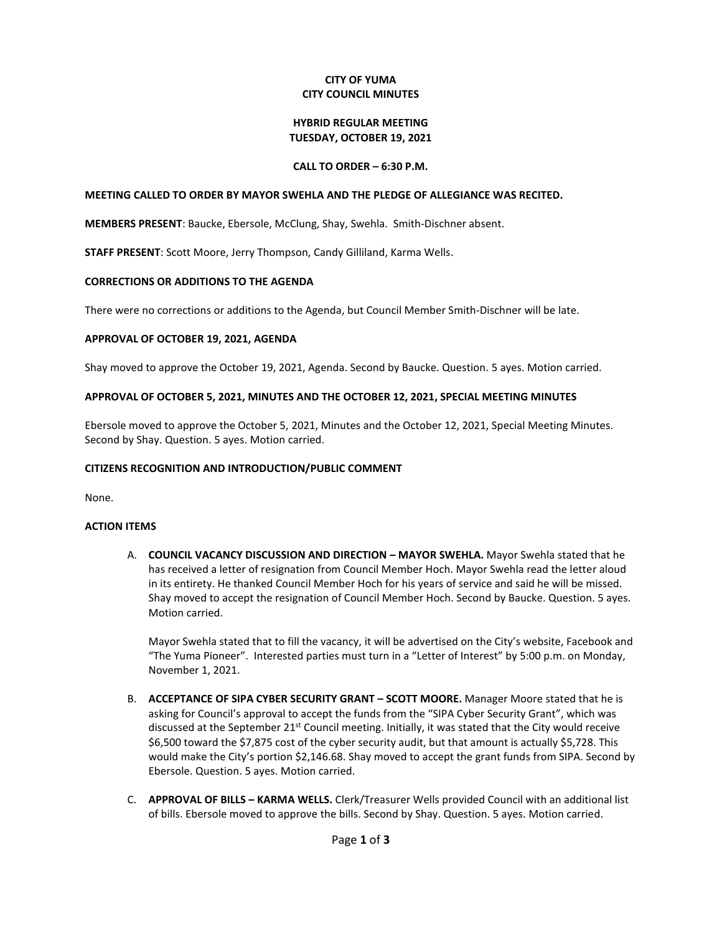## **CITY OF YUMA CITY COUNCIL MINUTES**

#### **HYBRID REGULAR MEETING TUESDAY, OCTOBER 19, 2021**

## **CALL TO ORDER – 6:30 P.M.**

### **MEETING CALLED TO ORDER BY MAYOR SWEHLA AND THE PLEDGE OF ALLEGIANCE WAS RECITED.**

**MEMBERS PRESENT**: Baucke, Ebersole, McClung, Shay, Swehla. Smith-Dischner absent.

**STAFF PRESENT**: Scott Moore, Jerry Thompson, Candy Gilliland, Karma Wells.

#### **CORRECTIONS OR ADDITIONS TO THE AGENDA**

There were no corrections or additions to the Agenda, but Council Member Smith-Dischner will be late.

#### **APPROVAL OF OCTOBER 19, 2021, AGENDA**

Shay moved to approve the October 19, 2021, Agenda. Second by Baucke. Question. 5 ayes. Motion carried.

#### **APPROVAL OF OCTOBER 5, 2021, MINUTES AND THE OCTOBER 12, 2021, SPECIAL MEETING MINUTES**

Ebersole moved to approve the October 5, 2021, Minutes and the October 12, 2021, Special Meeting Minutes. Second by Shay. Question. 5 ayes. Motion carried.

#### **CITIZENS RECOGNITION AND INTRODUCTION/PUBLIC COMMENT**

None.

### **ACTION ITEMS**

A. **COUNCIL VACANCY DISCUSSION AND DIRECTION - MAYOR SWEHLA.** Mayor Swehla stated that he has received a letter of resignation from Council Member Hoch. Mayor Swehla read the letter aloud in its entirety. He thanked Council Member Hoch for his years of service and said he will be missed. Shay moved to accept the resignation of Council Member Hoch. Second by Baucke. Question. 5 ayes. Motion carried.

Mayor Swehla stated that to fill the vacancy, it will be advertised on the City's website, Facebook and "The Yuma Pioneer". Interested parties must turn in a "Letter of Interest" by 5:00 p.m. on Monday, November 1, 2021.

- B. **ACCEPTANCE OF SIPA CYBER SECURITY GRANT – SCOTT MOORE.** Manager Moore stated that he is asking for Council's approval to accept the funds from the "SIPA Cyber Security Grant", which was discussed at the September 21<sup>st</sup> Council meeting. Initially, it was stated that the City would receive \$6,500 toward the \$7,875 cost of the cyber security audit, but that amount is actually \$5,728. This would make the City's portion \$2,146.68. Shay moved to accept the grant funds from SIPA. Second by Ebersole. Question. 5 ayes. Motion carried.
- C. **APPROVAL OF BILLS – KARMA WELLS.** Clerk/Treasurer Wells provided Council with an additional list of bills. Ebersole moved to approve the bills. Second by Shay. Question. 5 ayes. Motion carried.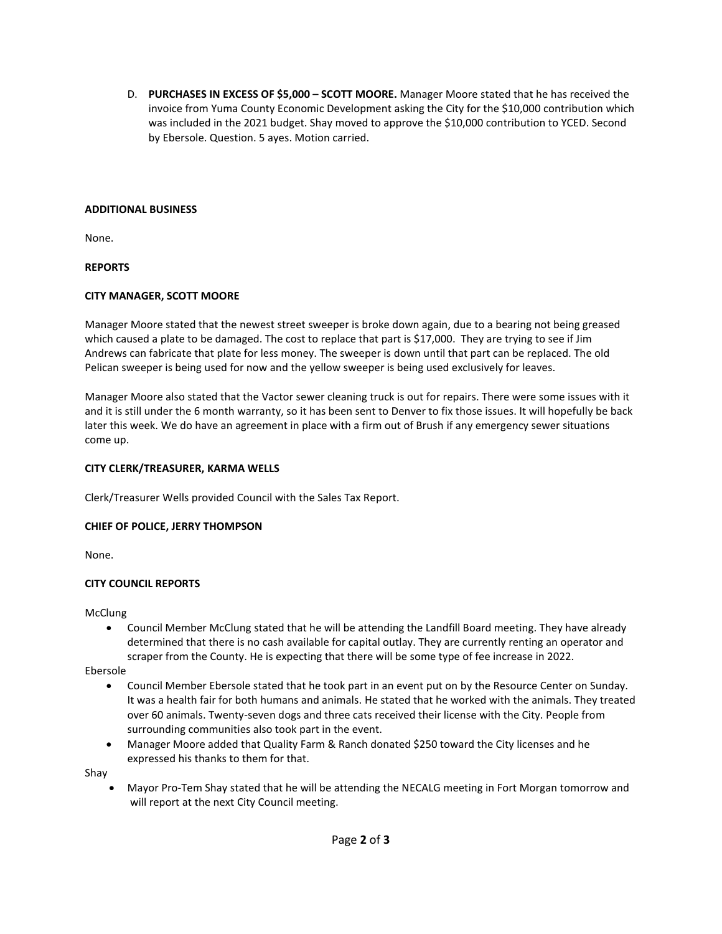D. **PURCHASES IN EXCESS OF \$5,000 – SCOTT MOORE.** Manager Moore stated that he has received the invoice from Yuma County Economic Development asking the City for the \$10,000 contribution which was included in the 2021 budget. Shay moved to approve the \$10,000 contribution to YCED. Second by Ebersole. Question. 5 ayes. Motion carried.

## **ADDITIONAL BUSINESS**

None.

**REPORTS**

## **CITY MANAGER, SCOTT MOORE**

Manager Moore stated that the newest street sweeper is broke down again, due to a bearing not being greased which caused a plate to be damaged. The cost to replace that part is \$17,000. They are trying to see if Jim Andrews can fabricate that plate for less money. The sweeper is down until that part can be replaced. The old Pelican sweeper is being used for now and the yellow sweeper is being used exclusively for leaves.

Manager Moore also stated that the Vactor sewer cleaning truck is out for repairs. There were some issues with it and it is still under the 6 month warranty, so it has been sent to Denver to fix those issues. It will hopefully be back later this week. We do have an agreement in place with a firm out of Brush if any emergency sewer situations come up.

# **CITY CLERK/TREASURER, KARMA WELLS**

Clerk/Treasurer Wells provided Council with the Sales Tax Report.

# **CHIEF OF POLICE, JERRY THOMPSON**

None.

# **CITY COUNCIL REPORTS**

McClung

• Council Member McClung stated that he will be attending the Landfill Board meeting. They have already determined that there is no cash available for capital outlay. They are currently renting an operator and scraper from the County. He is expecting that there will be some type of fee increase in 2022.

Ebersole

- Council Member Ebersole stated that he took part in an event put on by the Resource Center on Sunday. It was a health fair for both humans and animals. He stated that he worked with the animals. They treated over 60 animals. Twenty-seven dogs and three cats received their license with the City. People from surrounding communities also took part in the event.
- Manager Moore added that Quality Farm & Ranch donated \$250 toward the City licenses and he expressed his thanks to them for that.

Shay

• Mayor Pro-Tem Shay stated that he will be attending the NECALG meeting in Fort Morgan tomorrow and will report at the next City Council meeting.